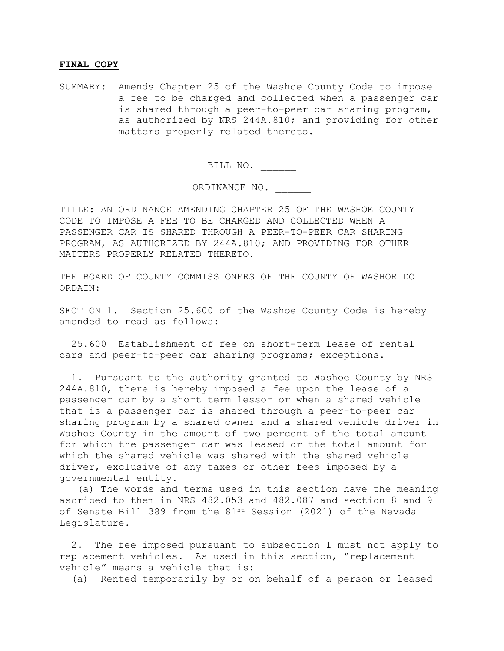## **FINAL COPY**

SUMMARY: Amends Chapter 25 of the Washoe County Code to impose a fee to be charged and collected when a passenger car is shared through a peer-to-peer car sharing program, as authorized by NRS 244A.810; and providing for other matters properly related thereto.

BILL NO. \_\_\_\_\_\_

ORDINANCE NO. \_\_\_\_\_\_

TITLE: AN ORDINANCE AMENDING CHAPTER 25 OF THE WASHOE COUNTY CODE TO IMPOSE A FEE TO BE CHARGED AND COLLECTED WHEN A PASSENGER CAR IS SHARED THROUGH A PEER-TO-PEER CAR SHARING PROGRAM, AS AUTHORIZED BY 244A.810; AND PROVIDING FOR OTHER MATTERS PROPERLY RELATED THERETO.

THE BOARD OF COUNTY COMMISSIONERS OF THE COUNTY OF WASHOE DO ORDAIN:

SECTION 1. Section 25.600 of the Washoe County Code is hereby amended to read as follows:

 25.600 Establishment of fee on short-term lease of rental cars and peer-to-peer car sharing programs; exceptions.

 1. Pursuant to the authority granted to Washoe County by NRS 244A.810, there is hereby imposed a fee upon the lease of a passenger car by a short term lessor or when a shared vehicle that is a passenger car is shared through a peer-to-peer car sharing program by a shared owner and a shared vehicle driver in Washoe County in the amount of two percent of the total amount for which the passenger car was leased or the total amount for which the shared vehicle was shared with the shared vehicle driver, exclusive of any taxes or other fees imposed by a governmental entity.

 (a) The words and terms used in this section have the meaning ascribed to them in NRS 482.053 and 482.087 and section 8 and 9 of Senate Bill 389 from the 81<sup>st</sup> Session (2021) of the Nevada Legislature.

 2. The fee imposed pursuant to subsection 1 must not apply to replacement vehicles. As used in this section, "replacement vehicle" means a vehicle that is:

(a) Rented temporarily by or on behalf of a person or leased